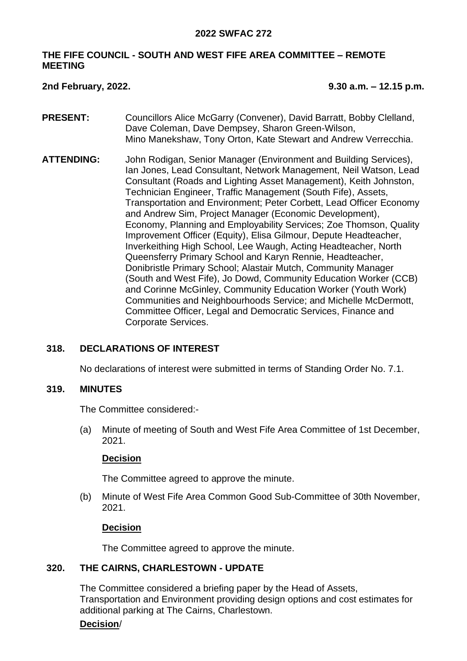### **2022 SWFAC 272**

# **THE FIFE COUNCIL - SOUTH AND WEST FIFE AREA COMMITTEE – REMOTE MEETING**

**2nd February, 2022. 9.30 a.m. – 12.15 p.m.**

- **PRESENT:** Councillors Alice McGarry (Convener), David Barratt, Bobby Clelland, Dave Coleman, Dave Dempsey, Sharon Green-Wilson, Mino Manekshaw, Tony Orton, Kate Stewart and Andrew Verrecchia.
- **ATTENDING:** John Rodigan, Senior Manager (Environment and Building Services), Ian Jones, Lead Consultant, Network Management, Neil Watson, Lead Consultant (Roads and Lighting Asset Management), Keith Johnston, Technician Engineer, Traffic Management (South Fife), Assets, Transportation and Environment; Peter Corbett, Lead Officer Economy and Andrew Sim, Project Manager (Economic Development), Economy, Planning and Employability Services; Zoe Thomson, Quality Improvement Officer (Equity), Elisa Gilmour, Depute Headteacher, Inverkeithing High School, Lee Waugh, Acting Headteacher, North Queensferry Primary School and Karyn Rennie, Headteacher, Donibristle Primary School; Alastair Mutch, Community Manager (South and West Fife), Jo Dowd, Community Education Worker (CCB) and Corinne McGinley, Community Education Worker (Youth Work) Communities and Neighbourhoods Service; and Michelle McDermott, Committee Officer, Legal and Democratic Services, Finance and Corporate Services.

# **318. DECLARATIONS OF INTEREST**

No declarations of interest were submitted in terms of Standing Order No. 7.1.

#### **319. MINUTES**

The Committee considered:-

(a) Minute of meeting of South and West Fife Area Committee of 1st December, 2021.

# **Decision**

The Committee agreed to approve the minute.

(b) Minute of West Fife Area Common Good Sub-Committee of 30th November, 2021.

# **Decision**

The Committee agreed to approve the minute.

# **320. THE CAIRNS, CHARLESTOWN - UPDATE**

The Committee considered a briefing paper by the Head of Assets, Transportation and Environment providing design options and cost estimates for additional parking at The Cairns, Charlestown.

# **Decision**/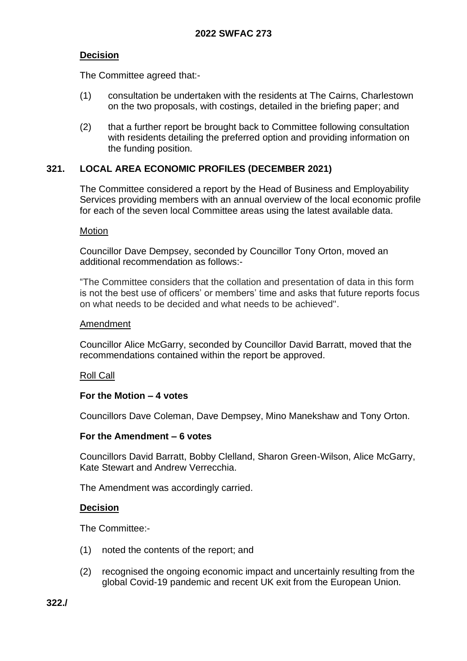# **Decision**

The Committee agreed that:-

- (1) consultation be undertaken with the residents at The Cairns, Charlestown on the two proposals, with costings, detailed in the briefing paper; and
- (2) that a further report be brought back to Committee following consultation with residents detailing the preferred option and providing information on the funding position.

# **321. LOCAL AREA ECONOMIC PROFILES (DECEMBER 2021)**

The Committee considered a report by the Head of Business and Employability Services providing members with an annual overview of the local economic profile for each of the seven local Committee areas using the latest available data.

### **Motion**

Councillor Dave Dempsey, seconded by Councillor Tony Orton, moved an additional recommendation as follows:-

"The Committee considers that the collation and presentation of data in this form is not the best use of officers' or members' time and asks that future reports focus on what needs to be decided and what needs to be achieved".

### Amendment

Councillor Alice McGarry, seconded by Councillor David Barratt, moved that the recommendations contained within the report be approved.

# Roll Call

# **For the Motion – 4 votes**

Councillors Dave Coleman, Dave Dempsey, Mino Manekshaw and Tony Orton.

# **For the Amendment – 6 votes**

Councillors David Barratt, Bobby Clelland, Sharon Green-Wilson, Alice McGarry, Kate Stewart and Andrew Verrecchia.

The Amendment was accordingly carried.

# **Decision**

The Committee:-

- (1) noted the contents of the report; and
- (2) recognised the ongoing economic impact and uncertainly resulting from the global Covid-19 pandemic and recent UK exit from the European Union.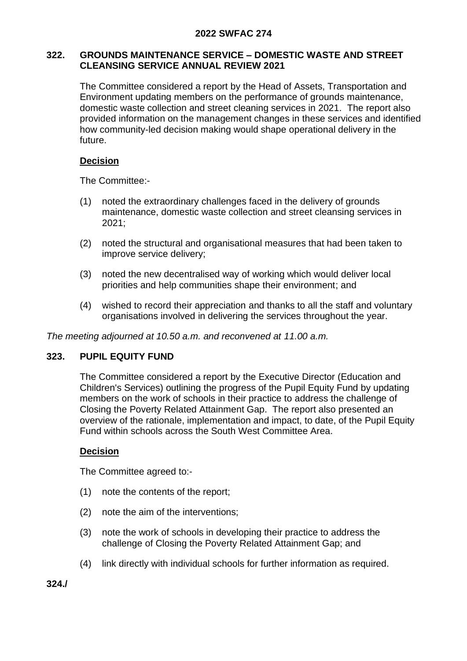# **2022 SWFAC 274**

# **322. GROUNDS MAINTENANCE SERVICE – DOMESTIC WASTE AND STREET CLEANSING SERVICE ANNUAL REVIEW 2021**

The Committee considered a report by the Head of Assets, Transportation and Environment updating members on the performance of grounds maintenance, domestic waste collection and street cleaning services in 2021. The report also provided information on the management changes in these services and identified how community-led decision making would shape operational delivery in the future.

# **Decision**

The Committee:-

- (1) noted the extraordinary challenges faced in the delivery of grounds maintenance, domestic waste collection and street cleansing services in 2021;
- (2) noted the structural and organisational measures that had been taken to improve service delivery;
- (3) noted the new decentralised way of working which would deliver local priorities and help communities shape their environment; and
- (4) wished to record their appreciation and thanks to all the staff and voluntary organisations involved in delivering the services throughout the year.

*The meeting adjourned at 10.50 a.m. and reconvened at 11.00 a.m.*

# **323. PUPIL EQUITY FUND**

The Committee considered a report by the Executive Director (Education and Children's Services) outlining the progress of the Pupil Equity Fund by updating members on the work of schools in their practice to address the challenge of Closing the Poverty Related Attainment Gap. The report also presented an overview of the rationale, implementation and impact, to date, of the Pupil Equity Fund within schools across the South West Committee Area.

# **Decision**

The Committee agreed to:-

- (1) note the contents of the report;
- (2) note the aim of the interventions;
- (3) note the work of schools in developing their practice to address the challenge of Closing the Poverty Related Attainment Gap; and
- (4) link directly with individual schools for further information as required.

**324./**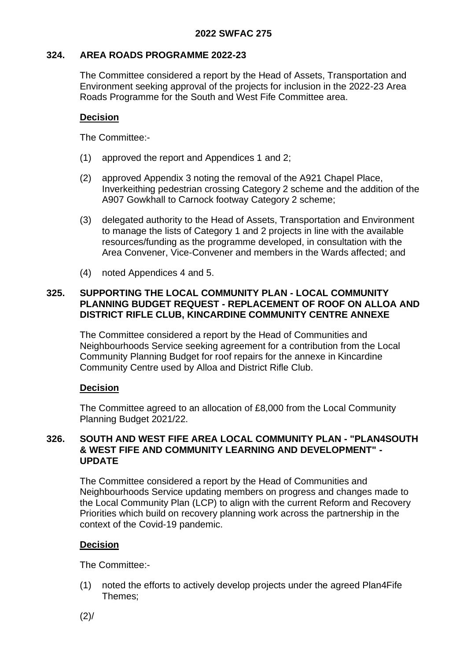# **324. AREA ROADS PROGRAMME 2022-23**

The Committee considered a report by the Head of Assets, Transportation and Environment seeking approval of the projects for inclusion in the 2022-23 Area Roads Programme for the South and West Fife Committee area.

### **Decision**

The Committee:-

- (1) approved the report and Appendices 1 and 2;
- (2) approved Appendix 3 noting the removal of the A921 Chapel Place, Inverkeithing pedestrian crossing Category 2 scheme and the addition of the A907 Gowkhall to Carnock footway Category 2 scheme;
- (3) delegated authority to the Head of Assets, Transportation and Environment to manage the lists of Category 1 and 2 projects in line with the available resources/funding as the programme developed, in consultation with the Area Convener, Vice-Convener and members in the Wards affected; and
- (4) noted Appendices 4 and 5.

# **325. SUPPORTING THE LOCAL COMMUNITY PLAN - LOCAL COMMUNITY PLANNING BUDGET REQUEST - REPLACEMENT OF ROOF ON ALLOA AND DISTRICT RIFLE CLUB, KINCARDINE COMMUNITY CENTRE ANNEXE**

The Committee considered a report by the Head of Communities and Neighbourhoods Service seeking agreement for a contribution from the Local Community Planning Budget for roof repairs for the annexe in Kincardine Community Centre used by Alloa and District Rifle Club.

# **Decision**

The Committee agreed to an allocation of £8,000 from the Local Community Planning Budget 2021/22.

### **326. SOUTH AND WEST FIFE AREA LOCAL COMMUNITY PLAN - "PLAN4SOUTH & WEST FIFE AND COMMUNITY LEARNING AND DEVELOPMENT" - UPDATE**

The Committee considered a report by the Head of Communities and Neighbourhoods Service updating members on progress and changes made to the Local Community Plan (LCP) to align with the current Reform and Recovery Priorities which build on recovery planning work across the partnership in the context of the Covid-19 pandemic.

# **Decision**

The Committee:-

(1) noted the efforts to actively develop projects under the agreed Plan4Fife Themes;